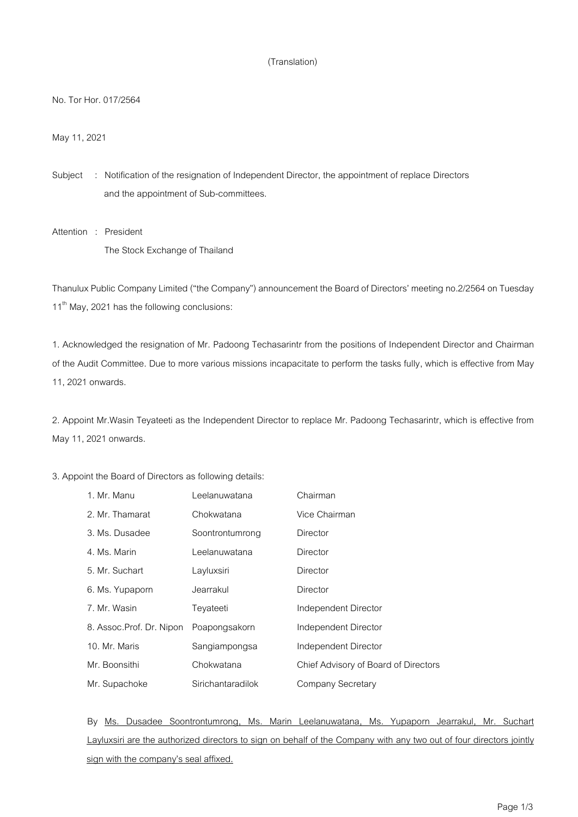## (Translation)

No. Tor Hor. 017/2564

May11, 2021

Subject : Notification of the resignation of Independent Director, the appointment of replace Directors and the appointment of Sub-committees.

Attention : President The Stock Exchange of Thailand

Thanulux Public Company Limited ("the Company") announcement the Board of Directors' meeting no.2/2564 on Tuesday 11<sup>th</sup> May, 2021 has the following conclusions:

1. Acknowledged the resignation of Mr. Padoong Techasarintr from the positions of Independent Director and Chairman of the Audit Committee. Due to more various missions incapacitate to perform the tasks fully, which is effective from May 11, 2021 onwards.

2. Appoint Mr.Wasin Teyateeti as the Independent Director to replace Mr. Padoong Techasarintr, which is effective from May11, 2021 onwards.

3. Appoint the Board of Directors as following details:

| 1. Mr. Manu              | Leelanuwatana     | Chairman                             |
|--------------------------|-------------------|--------------------------------------|
| 2. Mr. Thamarat          | Chokwatana        | Vice Chairman                        |
| 3. Ms. Dusadee           | Soontrontumrong   | Director                             |
| 4. Ms. Marin             | Leelanuwatana     | Director                             |
| 5. Mr. Suchart           | Layluxsiri        | Director                             |
| 6. Ms. Yupaporn          | Jearrakul         | Director                             |
| 7. Mr. Wasin             | Teyateeti         | Independent Director                 |
| 8. Assoc.Prof. Dr. Nipon | Poapongsakorn     | Independent Director                 |
| 10. Mr. Maris            | Sangiampongsa     | Independent Director                 |
| Mr. Boonsithi            | Chokwatana        | Chief Advisory of Board of Directors |
| Mr. Supachoke            | Sirichantaradilok | Company Secretary                    |

By Ms. Dusadee Soontrontumrong, Ms. Marin Leelanuwatana, Ms. Yupaporn Jearrakul, Mr. Suchart Layluxsiri are the authorized directors to sign on behalf of the Company with any two out of four directors jointly sign with the company's seal affixed.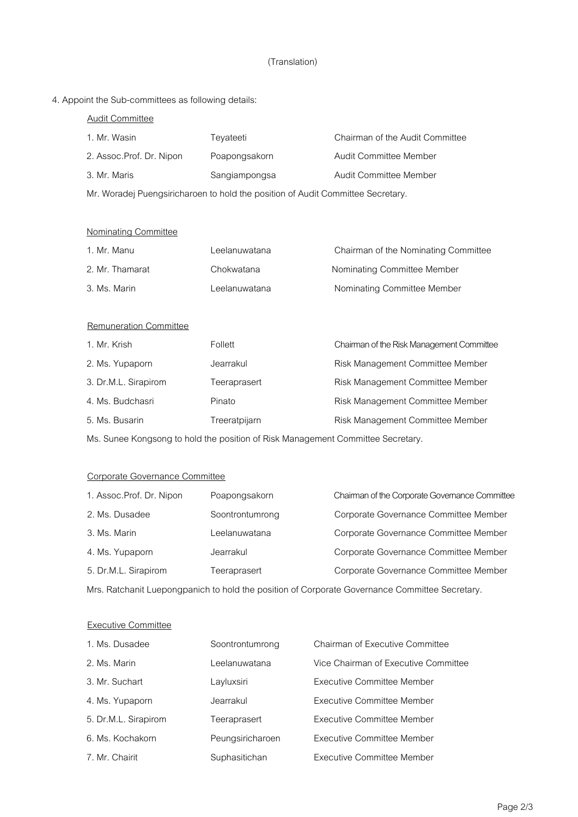## (Translation)

4. Appoint the Sub-committees as following details:

| <b>Audit Committee</b>                                                          |               |                                           |  |
|---------------------------------------------------------------------------------|---------------|-------------------------------------------|--|
| 1. Mr. Wasin                                                                    | Teyateeti     | Chairman of the Audit Committee           |  |
| 2. Assoc.Prof. Dr. Nipon                                                        | Poapongsakorn | Audit Committee Member                    |  |
| 3. Mr. Maris                                                                    | Sangiampongsa | Audit Committee Member                    |  |
| Mr. Woradej Puengsiricharoen to hold the position of Audit Committee Secretary. |               |                                           |  |
|                                                                                 |               |                                           |  |
| <b>Nominating Committee</b>                                                     |               |                                           |  |
| 1. Mr. Manu                                                                     | Leelanuwatana | Chairman of the Nominating Committee      |  |
| 2. Mr. Thamarat                                                                 | Chokwatana    | Nominating Committee Member               |  |
| 3. Ms. Marin                                                                    | Leelanuwatana | Nominating Committee Member               |  |
|                                                                                 |               |                                           |  |
| <b>Remuneration Committee</b>                                                   |               |                                           |  |
| 1. Mr. Krish                                                                    | Follett       | Chairman of the Risk Management Committee |  |
| 2. Ms. Yupaporn                                                                 | Jearrakul     | Risk Management Committee Member          |  |
| 3. Dr.M.L. Sirapirom                                                            | Teeraprasert  | Risk Management Committee Member          |  |
| 4. Ms. Budchasri                                                                | Pinato        | Risk Management Committee Member          |  |
| 5. Ms. Busarin                                                                  | Treeratpijarn | Risk Management Committee Member          |  |
|                                                                                 |               |                                           |  |

Ms. Sunee Kongsong to hold the position of Risk Management Committee Secretary.

## Corporate Governance Committee

| 1. Assoc.Prof. Dr. Nipon                                                                       | Poapongsakorn   | Chairman of the Corporate Governance Committee |  |  |
|------------------------------------------------------------------------------------------------|-----------------|------------------------------------------------|--|--|
| 2. Ms. Dusadee                                                                                 | Soontrontumrong | Corporate Governance Committee Member          |  |  |
| 3. Ms. Marin                                                                                   | Leelanuwatana   | Corporate Governance Committee Member          |  |  |
| 4. Ms. Yupaporn                                                                                | Jearrakul       | Corporate Governance Committee Member          |  |  |
| 5. Dr.M.L. Sirapirom                                                                           | Teeraprasert    | Corporate Governance Committee Member          |  |  |
| Mrs. Ratchanit Luepongpanich to hold the position of Corporate Governance Committee Secretary. |                 |                                                |  |  |

Executive Committee

| 1. Ms. Dusadee       | Soontrontumrong  | <b>Chairman of Executive Committee</b> |
|----------------------|------------------|----------------------------------------|
| 2. Ms. Marin         | Leelanuwatana    | Vice Chairman of Executive Committee   |
| 3. Mr. Suchart       | Layluxsiri       | Executive Committee Member             |
| 4. Ms. Yupaporn      | Jearrakul        | Executive Committee Member             |
| 5. Dr.M.L. Sirapirom | Teeraprasert     | Executive Committee Member             |
| 6. Ms. Kochakorn     | Peungsiricharoen | <b>Executive Committee Member</b>      |
| 7. Mr. Chairit       | Suphasitichan    | Executive Committee Member             |